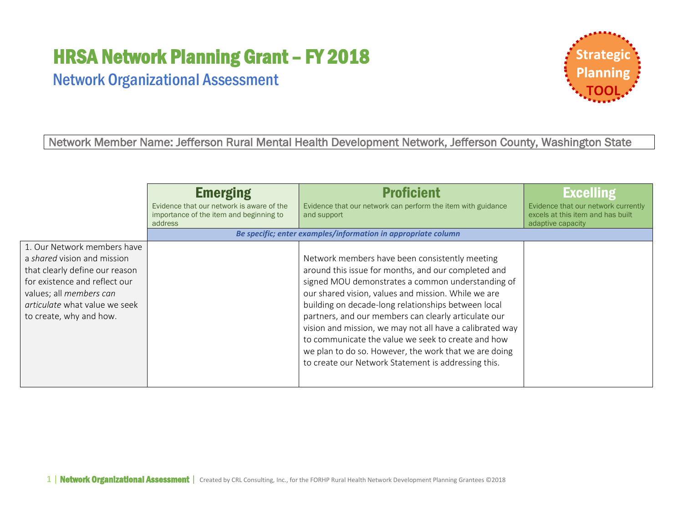# HRSA Network Planning Grant – FY 2018

# Network Organizational Assessment



Network Member Name: Jefferson Rural Mental Health Development Network, Jefferson County, Washington State

|                                                                                                                                                                                                                      | <b>Emerging</b>                                                                                 | <b>Proficient</b>                                                                                                                                                                                                                                                                                                                                                                                                                                                                                                                                                  | <b>Excelling</b>                                                                              |  |
|----------------------------------------------------------------------------------------------------------------------------------------------------------------------------------------------------------------------|-------------------------------------------------------------------------------------------------|--------------------------------------------------------------------------------------------------------------------------------------------------------------------------------------------------------------------------------------------------------------------------------------------------------------------------------------------------------------------------------------------------------------------------------------------------------------------------------------------------------------------------------------------------------------------|-----------------------------------------------------------------------------------------------|--|
|                                                                                                                                                                                                                      | Evidence that our network is aware of the<br>importance of the item and beginning to<br>address | Evidence that our network can perform the item with guidance<br>and support                                                                                                                                                                                                                                                                                                                                                                                                                                                                                        | Evidence that our network currently<br>excels at this item and has built<br>adaptive capacity |  |
|                                                                                                                                                                                                                      |                                                                                                 | Be specific; enter examples/information in appropriate column                                                                                                                                                                                                                                                                                                                                                                                                                                                                                                      |                                                                                               |  |
| 1. Our Network members have<br>a shared vision and mission<br>that clearly define our reason<br>for existence and reflect our<br>values; all members can<br>articulate what value we seek<br>to create, why and how. |                                                                                                 | Network members have been consistently meeting<br>around this issue for months, and our completed and<br>signed MOU demonstrates a common understanding of<br>our shared vision, values and mission. While we are<br>building on decade-long relationships between local<br>partners, and our members can clearly articulate our<br>vision and mission, we may not all have a calibrated way<br>to communicate the value we seek to create and how<br>we plan to do so. However, the work that we are doing<br>to create our Network Statement is addressing this. |                                                                                               |  |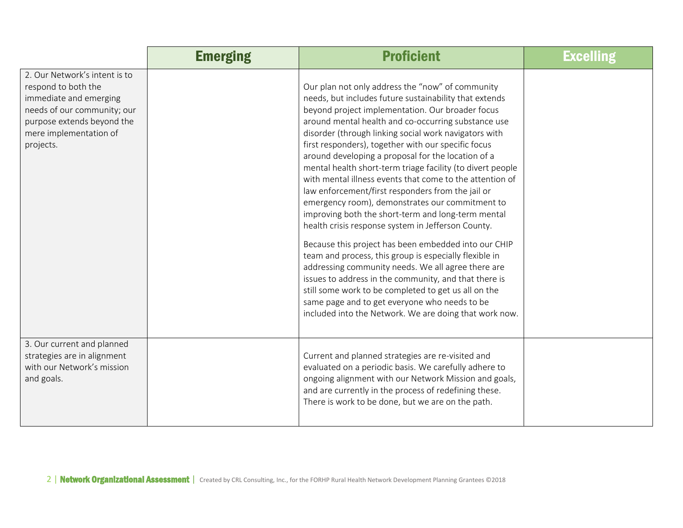|                                                                                                                                                                                    | <b>Emerging</b> | <b>Proficient</b>                                                                                                                                                                                                                                                                                                                                                                                                                                                                                                                                                                                                                                                                                                                                                                                                                                                                                                                                                                                                                                                                                                                             | <b>Excelling</b> |
|------------------------------------------------------------------------------------------------------------------------------------------------------------------------------------|-----------------|-----------------------------------------------------------------------------------------------------------------------------------------------------------------------------------------------------------------------------------------------------------------------------------------------------------------------------------------------------------------------------------------------------------------------------------------------------------------------------------------------------------------------------------------------------------------------------------------------------------------------------------------------------------------------------------------------------------------------------------------------------------------------------------------------------------------------------------------------------------------------------------------------------------------------------------------------------------------------------------------------------------------------------------------------------------------------------------------------------------------------------------------------|------------------|
| 2. Our Network's intent is to<br>respond to both the<br>immediate and emerging<br>needs of our community; our<br>purpose extends beyond the<br>mere implementation of<br>projects. |                 | Our plan not only address the "now" of community<br>needs, but includes future sustainability that extends<br>beyond project implementation. Our broader focus<br>around mental health and co-occurring substance use<br>disorder (through linking social work navigators with<br>first responders), together with our specific focus<br>around developing a proposal for the location of a<br>mental health short-term triage facility (to divert people<br>with mental illness events that come to the attention of<br>law enforcement/first responders from the jail or<br>emergency room), demonstrates our commitment to<br>improving both the short-term and long-term mental<br>health crisis response system in Jefferson County.<br>Because this project has been embedded into our CHIP<br>team and process, this group is especially flexible in<br>addressing community needs. We all agree there are<br>issues to address in the community, and that there is<br>still some work to be completed to get us all on the<br>same page and to get everyone who needs to be<br>included into the Network. We are doing that work now. |                  |
| 3. Our current and planned<br>strategies are in alignment<br>with our Network's mission<br>and goals.                                                                              |                 | Current and planned strategies are re-visited and<br>evaluated on a periodic basis. We carefully adhere to<br>ongoing alignment with our Network Mission and goals,<br>and are currently in the process of redefining these.<br>There is work to be done, but we are on the path.                                                                                                                                                                                                                                                                                                                                                                                                                                                                                                                                                                                                                                                                                                                                                                                                                                                             |                  |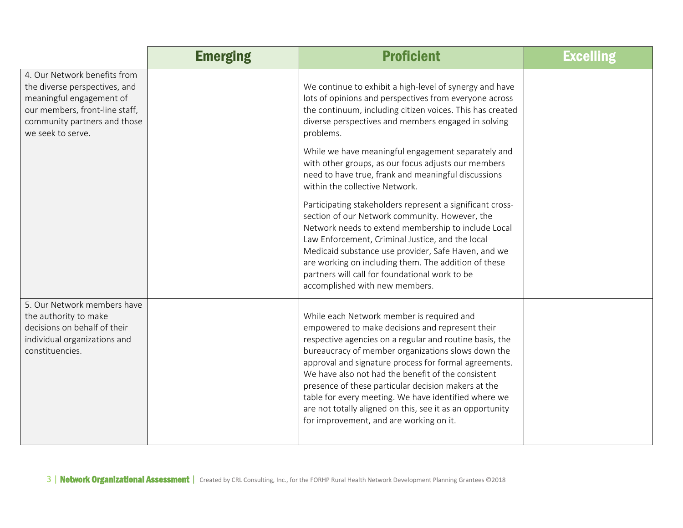|                                                                                                                                                                                  | <b>Emerging</b> | <b>Proficient</b>                                                                                                                                                                                                                                                                                                                                                                                                                                                                                                                                   | <b>Excelling</b> |
|----------------------------------------------------------------------------------------------------------------------------------------------------------------------------------|-----------------|-----------------------------------------------------------------------------------------------------------------------------------------------------------------------------------------------------------------------------------------------------------------------------------------------------------------------------------------------------------------------------------------------------------------------------------------------------------------------------------------------------------------------------------------------------|------------------|
| 4. Our Network benefits from<br>the diverse perspectives, and<br>meaningful engagement of<br>our members, front-line staff,<br>community partners and those<br>we seek to serve. |                 | We continue to exhibit a high-level of synergy and have<br>lots of opinions and perspectives from everyone across<br>the continuum, including citizen voices. This has created<br>diverse perspectives and members engaged in solving<br>problems.                                                                                                                                                                                                                                                                                                  |                  |
|                                                                                                                                                                                  |                 | While we have meaningful engagement separately and<br>with other groups, as our focus adjusts our members<br>need to have true, frank and meaningful discussions<br>within the collective Network.                                                                                                                                                                                                                                                                                                                                                  |                  |
|                                                                                                                                                                                  |                 | Participating stakeholders represent a significant cross-<br>section of our Network community. However, the<br>Network needs to extend membership to include Local<br>Law Enforcement, Criminal Justice, and the local<br>Medicaid substance use provider, Safe Haven, and we<br>are working on including them. The addition of these<br>partners will call for foundational work to be<br>accomplished with new members.                                                                                                                           |                  |
| 5. Our Network members have<br>the authority to make<br>decisions on behalf of their<br>individual organizations and<br>constituencies.                                          |                 | While each Network member is required and<br>empowered to make decisions and represent their<br>respective agencies on a regular and routine basis, the<br>bureaucracy of member organizations slows down the<br>approval and signature process for formal agreements.<br>We have also not had the benefit of the consistent<br>presence of these particular decision makers at the<br>table for every meeting. We have identified where we<br>are not totally aligned on this, see it as an opportunity<br>for improvement, and are working on it. |                  |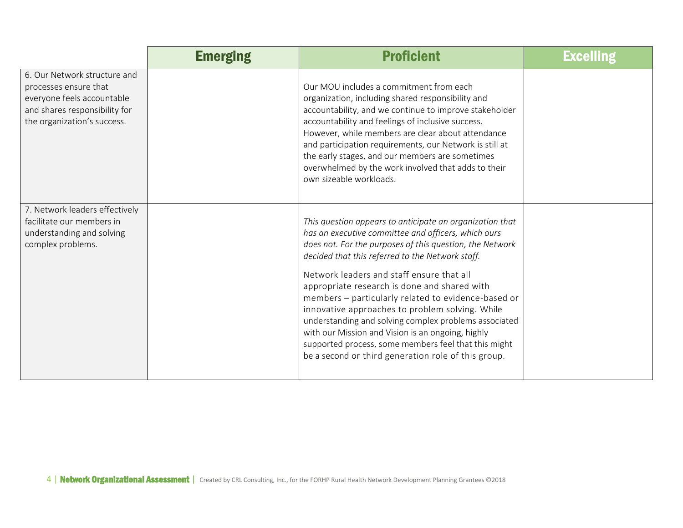|                                                                                                                                                     | <b>Emerging</b> | <b>Proficient</b>                                                                                                                                                                                                                                                                                                                                                                                                                                                                                                                                                                                                                                                   | <b>Excelling</b> |
|-----------------------------------------------------------------------------------------------------------------------------------------------------|-----------------|---------------------------------------------------------------------------------------------------------------------------------------------------------------------------------------------------------------------------------------------------------------------------------------------------------------------------------------------------------------------------------------------------------------------------------------------------------------------------------------------------------------------------------------------------------------------------------------------------------------------------------------------------------------------|------------------|
| 6. Our Network structure and<br>processes ensure that<br>everyone feels accountable<br>and shares responsibility for<br>the organization's success. |                 | Our MOU includes a commitment from each<br>organization, including shared responsibility and<br>accountability, and we continue to improve stakeholder<br>accountability and feelings of inclusive success.<br>However, while members are clear about attendance<br>and participation requirements, our Network is still at<br>the early stages, and our members are sometimes<br>overwhelmed by the work involved that adds to their<br>own sizeable workloads.                                                                                                                                                                                                    |                  |
| 7. Network leaders effectively<br>facilitate our members in<br>understanding and solving<br>complex problems.                                       |                 | This question appears to anticipate an organization that<br>has an executive committee and officers, which ours<br>does not. For the purposes of this question, the Network<br>decided that this referred to the Network staff.<br>Network leaders and staff ensure that all<br>appropriate research is done and shared with<br>members - particularly related to evidence-based or<br>innovative approaches to problem solving. While<br>understanding and solving complex problems associated<br>with our Mission and Vision is an ongoing, highly<br>supported process, some members feel that this might<br>be a second or third generation role of this group. |                  |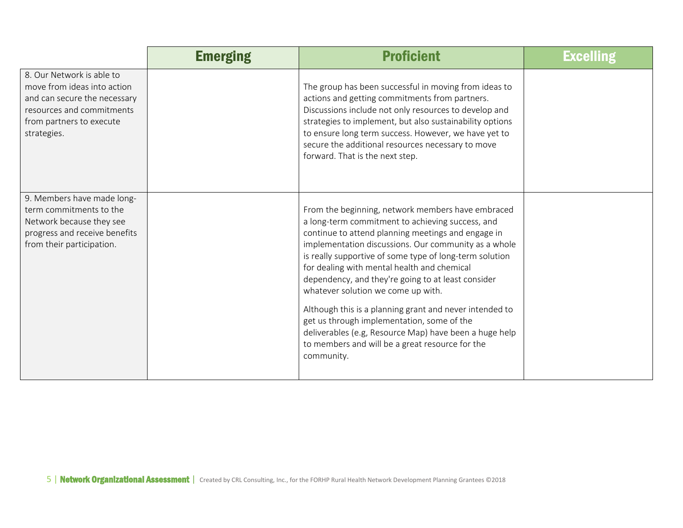|                                                                                                                                                                  | <b>Emerging</b> | <b>Proficient</b>                                                                                                                                                                                                                                                                                                                                                                                                                                                                                                                                                                                                                                             | <b>Excelling</b> |
|------------------------------------------------------------------------------------------------------------------------------------------------------------------|-----------------|---------------------------------------------------------------------------------------------------------------------------------------------------------------------------------------------------------------------------------------------------------------------------------------------------------------------------------------------------------------------------------------------------------------------------------------------------------------------------------------------------------------------------------------------------------------------------------------------------------------------------------------------------------------|------------------|
| 8. Our Network is able to<br>move from ideas into action<br>and can secure the necessary<br>resources and commitments<br>from partners to execute<br>strategies. |                 | The group has been successful in moving from ideas to<br>actions and getting commitments from partners.<br>Discussions include not only resources to develop and<br>strategies to implement, but also sustainability options<br>to ensure long term success. However, we have yet to<br>secure the additional resources necessary to move<br>forward. That is the next step.                                                                                                                                                                                                                                                                                  |                  |
| 9. Members have made long-<br>term commitments to the<br>Network because they see<br>progress and receive benefits<br>from their participation.                  |                 | From the beginning, network members have embraced<br>a long-term commitment to achieving success, and<br>continue to attend planning meetings and engage in<br>implementation discussions. Our community as a whole<br>is really supportive of some type of long-term solution<br>for dealing with mental health and chemical<br>dependency, and they're going to at least consider<br>whatever solution we come up with.<br>Although this is a planning grant and never intended to<br>get us through implementation, some of the<br>deliverables (e.g, Resource Map) have been a huge help<br>to members and will be a great resource for the<br>community. |                  |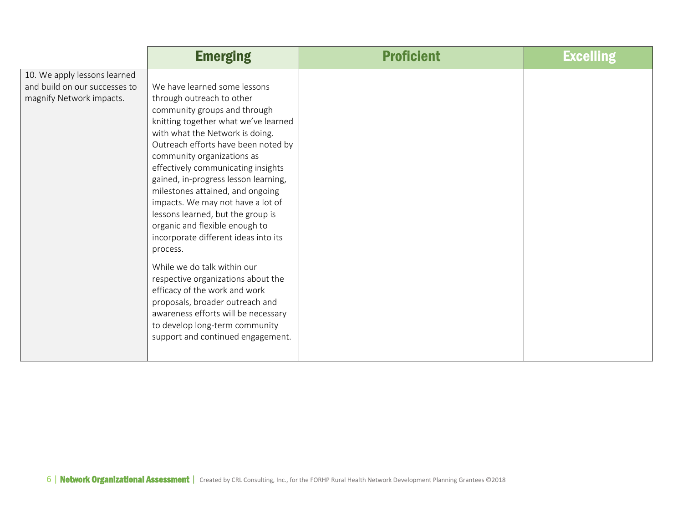|                                                                                           | <b>Emerging</b>                                                                                                                                                                                                                                                                                                                                                                                                                                                                                                                                                                                                                                                                                                                                                                    | <b>Proficient</b> | <b>Excelling</b> |
|-------------------------------------------------------------------------------------------|------------------------------------------------------------------------------------------------------------------------------------------------------------------------------------------------------------------------------------------------------------------------------------------------------------------------------------------------------------------------------------------------------------------------------------------------------------------------------------------------------------------------------------------------------------------------------------------------------------------------------------------------------------------------------------------------------------------------------------------------------------------------------------|-------------------|------------------|
| 10. We apply lessons learned<br>and build on our successes to<br>magnify Network impacts. | We have learned some lessons<br>through outreach to other<br>community groups and through<br>knitting together what we've learned<br>with what the Network is doing.<br>Outreach efforts have been noted by<br>community organizations as<br>effectively communicating insights<br>gained, in-progress lesson learning,<br>milestones attained, and ongoing<br>impacts. We may not have a lot of<br>lessons learned, but the group is<br>organic and flexible enough to<br>incorporate different ideas into its<br>process.<br>While we do talk within our<br>respective organizations about the<br>efficacy of the work and work<br>proposals, broader outreach and<br>awareness efforts will be necessary<br>to develop long-term community<br>support and continued engagement. |                   |                  |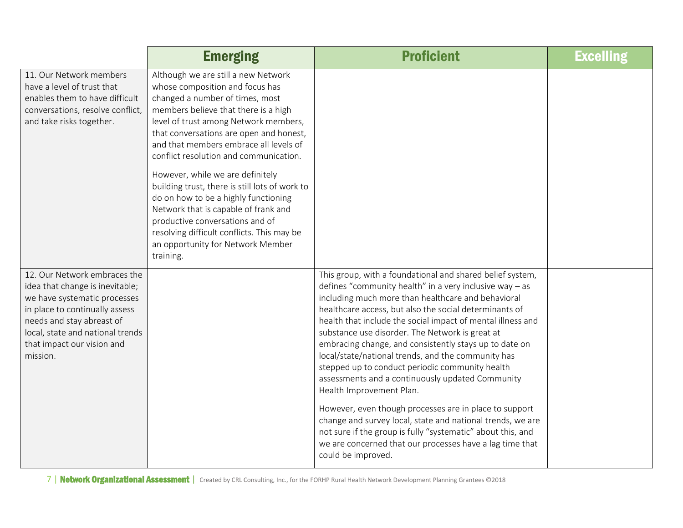|                                                                                                                                                                                                                                              | <b>Emerging</b>                                                                                                                                                                                                                                                                                                                                                                                                                                                                                                                                                                                                                    | <b>Proficient</b>                                                                                                                                                                                                                                                                                                                                                                                                                                                                                                                                                                                                                                                                                                                                                                                                                                                                    | <b>Excelling</b> |
|----------------------------------------------------------------------------------------------------------------------------------------------------------------------------------------------------------------------------------------------|------------------------------------------------------------------------------------------------------------------------------------------------------------------------------------------------------------------------------------------------------------------------------------------------------------------------------------------------------------------------------------------------------------------------------------------------------------------------------------------------------------------------------------------------------------------------------------------------------------------------------------|--------------------------------------------------------------------------------------------------------------------------------------------------------------------------------------------------------------------------------------------------------------------------------------------------------------------------------------------------------------------------------------------------------------------------------------------------------------------------------------------------------------------------------------------------------------------------------------------------------------------------------------------------------------------------------------------------------------------------------------------------------------------------------------------------------------------------------------------------------------------------------------|------------------|
| 11. Our Network members<br>have a level of trust that<br>enables them to have difficult<br>conversations, resolve conflict,<br>and take risks together.                                                                                      | Although we are still a new Network<br>whose composition and focus has<br>changed a number of times, most<br>members believe that there is a high<br>level of trust among Network members,<br>that conversations are open and honest,<br>and that members embrace all levels of<br>conflict resolution and communication.<br>However, while we are definitely<br>building trust, there is still lots of work to<br>do on how to be a highly functioning<br>Network that is capable of frank and<br>productive conversations and of<br>resolving difficult conflicts. This may be<br>an opportunity for Network Member<br>training. |                                                                                                                                                                                                                                                                                                                                                                                                                                                                                                                                                                                                                                                                                                                                                                                                                                                                                      |                  |
| 12. Our Network embraces the<br>idea that change is inevitable;<br>we have systematic processes<br>in place to continually assess<br>needs and stay abreast of<br>local, state and national trends<br>that impact our vision and<br>mission. |                                                                                                                                                                                                                                                                                                                                                                                                                                                                                                                                                                                                                                    | This group, with a foundational and shared belief system,<br>defines "community health" in a very inclusive way $-$ as<br>including much more than healthcare and behavioral<br>healthcare access, but also the social determinants of<br>health that include the social impact of mental illness and<br>substance use disorder. The Network is great at<br>embracing change, and consistently stays up to date on<br>local/state/national trends, and the community has<br>stepped up to conduct periodic community health<br>assessments and a continuously updated Community<br>Health Improvement Plan.<br>However, even though processes are in place to support<br>change and survey local, state and national trends, we are<br>not sure if the group is fully "systematic" about this, and<br>we are concerned that our processes have a lag time that<br>could be improved. |                  |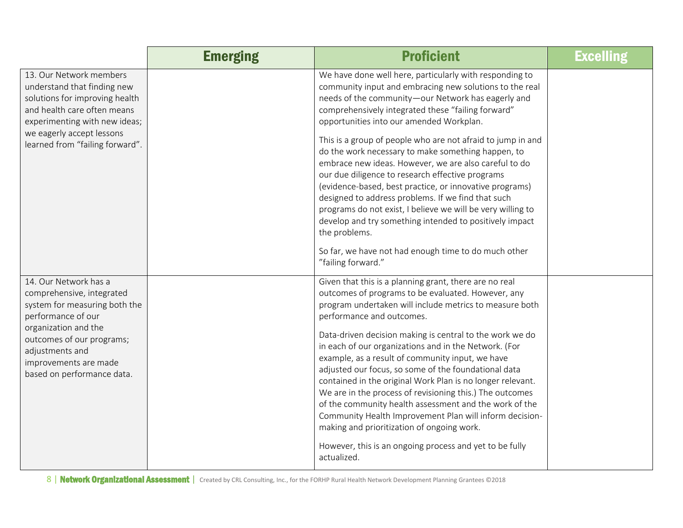|                                                                                                                                                                                                                                          | <b>Emerging</b> | <b>Proficient</b>                                                                                                                                                                                                                                                                                                                                                                                                                                                                                                                                                                                                                                                                                                                                                                                            | <b>Excelling</b> |
|------------------------------------------------------------------------------------------------------------------------------------------------------------------------------------------------------------------------------------------|-----------------|--------------------------------------------------------------------------------------------------------------------------------------------------------------------------------------------------------------------------------------------------------------------------------------------------------------------------------------------------------------------------------------------------------------------------------------------------------------------------------------------------------------------------------------------------------------------------------------------------------------------------------------------------------------------------------------------------------------------------------------------------------------------------------------------------------------|------------------|
| 13. Our Network members<br>understand that finding new<br>solutions for improving health<br>and health care often means<br>experimenting with new ideas;                                                                                 |                 | We have done well here, particularly with responding to<br>community input and embracing new solutions to the real<br>needs of the community-our Network has eagerly and<br>comprehensively integrated these "failing forward"<br>opportunities into our amended Workplan.                                                                                                                                                                                                                                                                                                                                                                                                                                                                                                                                   |                  |
| we eagerly accept lessons<br>learned from "failing forward".                                                                                                                                                                             |                 | This is a group of people who are not afraid to jump in and<br>do the work necessary to make something happen, to<br>embrace new ideas. However, we are also careful to do<br>our due diligence to research effective programs<br>(evidence-based, best practice, or innovative programs)<br>designed to address problems. If we find that such<br>programs do not exist, I believe we will be very willing to<br>develop and try something intended to positively impact<br>the problems.<br>So far, we have not had enough time to do much other<br>"failing forward."                                                                                                                                                                                                                                     |                  |
| 14. Our Network has a<br>comprehensive, integrated<br>system for measuring both the<br>performance of our<br>organization and the<br>outcomes of our programs;<br>adjustments and<br>improvements are made<br>based on performance data. |                 | Given that this is a planning grant, there are no real<br>outcomes of programs to be evaluated. However, any<br>program undertaken will include metrics to measure both<br>performance and outcomes.<br>Data-driven decision making is central to the work we do<br>in each of our organizations and in the Network. (For<br>example, as a result of community input, we have<br>adjusted our focus, so some of the foundational data<br>contained in the original Work Plan is no longer relevant.<br>We are in the process of revisioning this.) The outcomes<br>of the community health assessment and the work of the<br>Community Health Improvement Plan will inform decision-<br>making and prioritization of ongoing work.<br>However, this is an ongoing process and yet to be fully<br>actualized. |                  |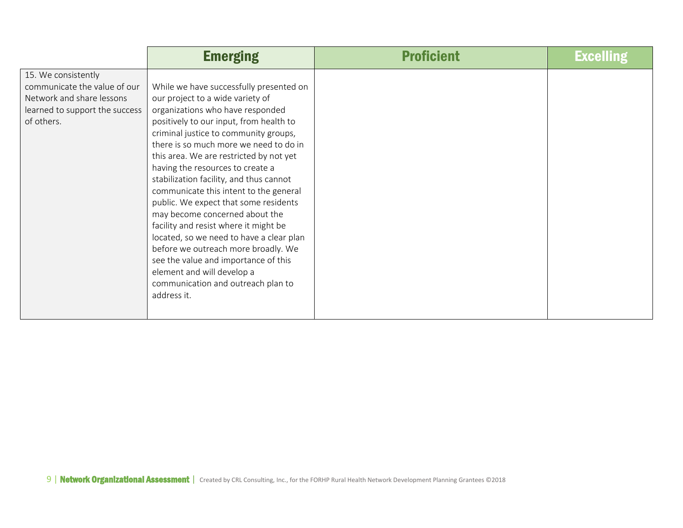|                                                                                                                                  | <b>Emerging</b>                                                                                                                                                                                                                                                                                                                                                                                                                                                                                                                                                                                                                                                                                                                                     | <b>Proficient</b> | <b>Excelling</b> |
|----------------------------------------------------------------------------------------------------------------------------------|-----------------------------------------------------------------------------------------------------------------------------------------------------------------------------------------------------------------------------------------------------------------------------------------------------------------------------------------------------------------------------------------------------------------------------------------------------------------------------------------------------------------------------------------------------------------------------------------------------------------------------------------------------------------------------------------------------------------------------------------------------|-------------------|------------------|
| 15. We consistently<br>communicate the value of our<br>Network and share lessons<br>learned to support the success<br>of others. | While we have successfully presented on<br>our project to a wide variety of<br>organizations who have responded<br>positively to our input, from health to<br>criminal justice to community groups,<br>there is so much more we need to do in<br>this area. We are restricted by not yet<br>having the resources to create a<br>stabilization facility, and thus cannot<br>communicate this intent to the general<br>public. We expect that some residents<br>may become concerned about the<br>facility and resist where it might be<br>located, so we need to have a clear plan<br>before we outreach more broadly. We<br>see the value and importance of this<br>element and will develop a<br>communication and outreach plan to<br>address it. |                   |                  |